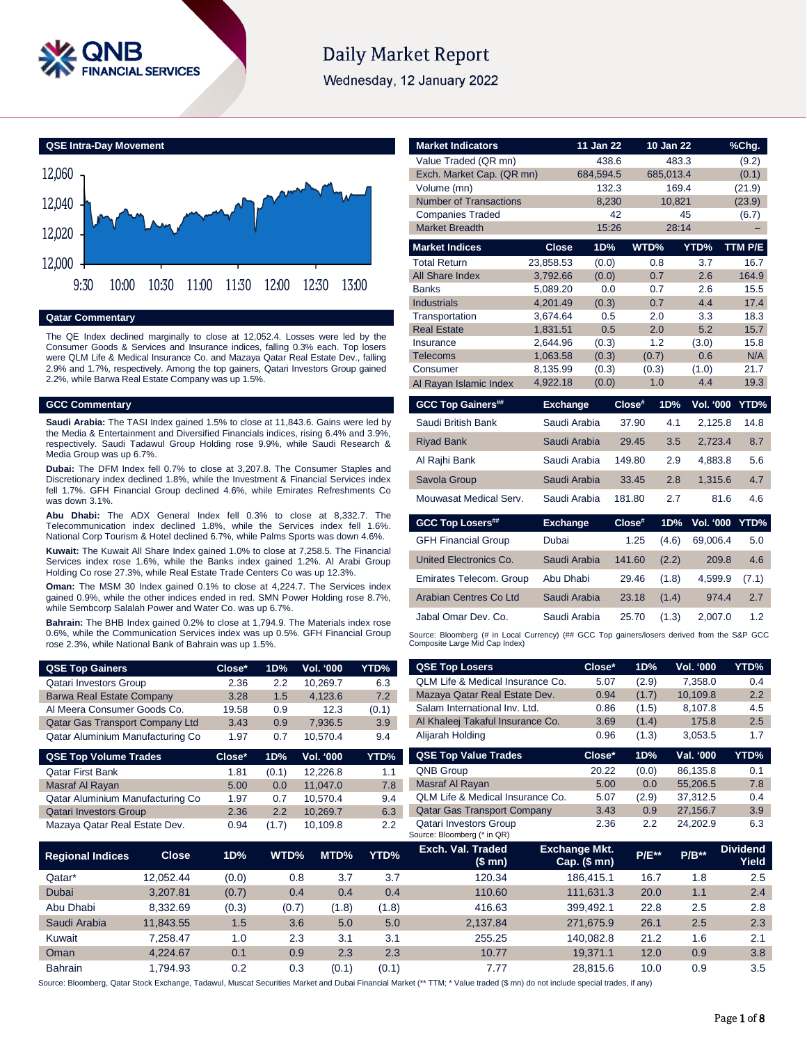

# **Daily Market Report**

Wednesday, 12 January 2022

**QSE Intra-Day Movement**



**Qatar Commentary**

The QE Index declined marginally to close at 12,052.4. Losses were led by the Consumer Goods & Services and Insurance indices, falling 0.3% each. Top losers were QLM Life & Medical Insurance Co. and Mazaya Qatar Real Estate Dev., falling 2.9% and 1.7%, respectively. Among the top gainers, Qatari Investors Group gained 2.2%, while Barwa Real Estate Company was up 1.5%.

#### **GCC Commentary**

**Saudi Arabia:** The TASI Index gained 1.5% to close at 11,843.6. Gains were led by the Media & Entertainment and Diversified Financials indices, rising 6.4% and 3.9%, respectively. Saudi Tadawul Group Holding rose 9.9%, while Saudi Research & Media Group was up 6.7%.

**Dubai:** The DFM Index fell 0.7% to close at 3,207.8. The Consumer Staples and Discretionary index declined 1.8%, while the Investment & Financial Services index fell 1.7%. GFH Financial Group declined 4.6%, while Emirates Refreshments Co was down 3.1%.

**Abu Dhabi:** The ADX General Index fell 0.3% to close at 8,332.7. The Telecommunication index declined 1.8%, while the Services index fell 1.6%. National Corp Tourism & Hotel declined 6.7%, while Palms Sports was down 4.6%.

**Kuwait:** The Kuwait All Share Index gained 1.0% to close at 7,258.5. The Financial Services index rose 1.6%, while the Banks index gained 1.2%. Al Arabi Group Holding Co rose 27.3%, while Real Estate Trade Centers Co was up 12.3%.

**Oman:** The MSM 30 Index gained 0.1% to close at 4,224.7. The Services index gained 0.9%, while the other indices ended in red. SMN Power Holding rose 8.7%, while Sembcorp Salalah Power and Water Co. was up 6.7%.

**Bahrain:** The BHB Index gained 0.2% to close at 1,794.9. The Materials index rose 0.6%, while the Communication Services index was up 0.5%. GFH Financial Group rose 2.3%, while National Bank of Bahrain was up 1.5%.

| <b>QSE Top Gainers</b>           | Close* | 1D% | <b>Vol. '000</b> ' | YTD%  |
|----------------------------------|--------|-----|--------------------|-------|
| <b>Qatari Investors Group</b>    | 2.36   | 22  | 10.269.7           | 6.3   |
| <b>Barwa Real Estate Company</b> | 3.28   | 1.5 | 4.123.6            | 7.2   |
| Al Meera Consumer Goods Co.      | 19.58  | 0.9 | 12.3               | (0.1) |
| Qatar Gas Transport Company Ltd  | 3.43   | 0.9 | 7.936.5            | 3.9   |
| Qatar Aluminium Manufacturing Co | 1.97   | 0.7 | 10.570.4           | 9.4   |

| <b>QSE Top Volume Trades</b>     | Close* | 1D%   | <b>Vol. '000</b> | YTD% |
|----------------------------------|--------|-------|------------------|------|
| <b>Qatar First Bank</b>          | 1.81   | (0.1) | 12.226.8         | 1.1  |
| Masraf Al Rayan                  | 5.00   | 0.0   | 11.047.0         | 7.8  |
| Qatar Aluminium Manufacturing Co | 1.97   | 0.7   | 10.570.4         | 9.4  |
| <b>Qatari Investors Group</b>    | 2.36   | 2.2   | 10.269.7         | 6.3  |
| Mazaya Qatar Real Estate Dev.    | 0.94   | (1.7) | 10.109.8         | 2.2  |

| <b>Market Indicators</b>      |                      | 11 Jan 22      |        | $10$ Jan $22$ |                  | %Chg.       |
|-------------------------------|----------------------|----------------|--------|---------------|------------------|-------------|
| Value Traded (QR mn)          |                      | 438.6          |        | 483.3         |                  | (9.2)       |
| Exch. Market Cap. (QR mn)     |                      | 684,594.5      |        | 685,013.4     |                  | (0.1)       |
| Volume (mn)                   |                      | 132.3          |        | 169.4         |                  | (21.9)      |
| <b>Number of Transactions</b> |                      | 8,230          |        | 10,821        |                  | (23.9)      |
| <b>Companies Traded</b>       |                      | 42             |        |               | 45               | (6.7)       |
| <b>Market Breadth</b>         |                      | 15:26          |        | 28:14         |                  |             |
| <b>Market Indices</b>         | <b>Close</b>         | 1D%            | WTD%   |               | YTD%             | TTM P/E     |
| <b>Total Return</b>           | 23.858.53            | (0.0)          |        | 0.8           | 3.7              | 16.7        |
| All Share Index               | 3,792.66             | (0.0)          |        | 0.7           | 2.6              | 164.9       |
| <b>Banks</b>                  | 5,089.20             | 0.0            |        | 0.7           | 2.6              | 15.5        |
| <b>Industrials</b>            | 4.201.49             | (0.3)          |        | 0.7           | 4.4              | 17.4        |
| Transportation                | 3,674.64             | 0.5            |        | 2.0           | 3.3              | 18.3        |
| <b>Real Estate</b>            | 1,831.51             | 0.5            |        | 2.0           | 5.2              | 15.7        |
| Insurance<br><b>Telecoms</b>  | 2,644.96<br>1,063.58 | (0.3)<br>(0.3) |        | 1.2<br>(0.7)  | (3.0)<br>0.6     | 15.8<br>N/A |
| Consumer                      | 8,135.99             | (0.3)          |        | (0.3)         | (1.0)            | 21.7        |
| Al Rayan Islamic Index        | 4,922.18             | (0.0)          |        | 1.0           | 4.4              | 19.3        |
|                               |                      |                |        |               |                  |             |
| <b>GCC Top Gainers##</b>      | <b>Exchange</b>      |                | Close# | 1D%           | <b>Vol. '000</b> | YTD%        |
| Saudi British Bank            | Saudi Arabia         |                | 37.90  | 4.1           | 2,125.8          | 14.8        |
| <b>Riyad Bank</b>             | Saudi Arabia         |                | 29.45  | 3.5           | 2,723.4          | 8.7         |
| Al Rajhi Bank                 | Saudi Arabia         |                | 149.80 | 2.9           | 4,883.8          | 5.6         |
| Savola Group                  | Saudi Arabia         |                | 33.45  | 2.8           | 1,315.6          | 4.7         |
|                               |                      |                |        |               |                  |             |
| Mouwasat Medical Serv.        | Saudi Arabia         |                | 181.80 | 2.7           | 81.6             | 4.6         |
|                               |                      |                |        |               |                  |             |
| <b>GCC Top Losers##</b>       | <b>Exchange</b>      |                | Close# | 1D%           | Vol. '000        | YTD%        |
| <b>GFH Financial Group</b>    | Dubai                |                | 1.25   | (4.6)         | 69,006.4         | 5.0         |
| United Electronics Co.        | Saudi Arabia         |                | 141.60 | (2.2)         | 209.8            | 4.6         |
| Emirates Telecom. Group       | Abu Dhabi            |                | 29.46  | (1.8)         | 4,599.9          | (7.1)       |
| Arabian Centres Co Ltd        | Saudi Arabia         |                | 23.18  | (1.4)         | 974.4            | 2.7         |
| Jabal Omar Dev. Co.           | Saudi Arabia         |                | 25.70  | (1.3)         | 2,007.0          | 1.2         |

| <b>QSE Top Losers</b>                                        | Close*                                          | 1D%          | <b>Vol. '000</b> | YTD%                     |
|--------------------------------------------------------------|-------------------------------------------------|--------------|------------------|--------------------------|
| OLM Life & Medical Insurance Co.                             | 5.07                                            | (2.9)        | 7.358.0          | 0.4                      |
| Mazaya Qatar Real Estate Dev.                                | 0.94                                            | (1.7)        | 10.109.8         | 2.2                      |
| Salam International Inv. Ltd.                                | 0.86                                            | (1.5)        | 8,107.8          | 4.5                      |
| Al Khaleej Takaful Insurance Co.                             | 3.69                                            | (1.4)        | 175.8            | 2.5                      |
| Alijarah Holding                                             | 0.96                                            | (1.3)        | 3.053.5          | 1.7                      |
| <b>QSE Top Value Trades</b>                                  | Close*                                          | 1D%          | Val. '000        | YTD%                     |
| <b>QNB Group</b>                                             | 20.22                                           | (0.0)        | 86,135.8         | 0.1                      |
| Masraf Al Rayan                                              | 5.00                                            | 0.0          | 55.206.5         | 7.8                      |
| OLM Life & Medical Insurance Co.                             | 5.07                                            | (2.9)        | 37.312.5         | 0.4                      |
| <b>Qatar Gas Transport Company</b>                           | 3.43                                            | 0.9          | 27,156.7         | 3.9                      |
| <b>Qatari Investors Group</b><br>Source: Bloomberg (* in QR) | 2.36                                            | 2.2          | 24,202.9         | 6.3                      |
| Exch. Val. Traded<br>(\$ mn)                                 | <b>Exchange Mkt.</b><br>$Cap.$ $(S \text{ mn})$ | <b>P/E**</b> | $P/B***$         | <b>Dividend</b><br>Yield |
|                                                              |                                                 |              |                  |                          |

| <b>Regional Indices</b> | <b>Close</b> | 1D%   | WTD%  | MTD%  | YTD%  | Exch. Val. Traded<br>(\$ mn) | <b>Exchange Mkt.</b><br>Cap. $($mn)$ | <b>P/E**</b> | $P/B**$ | <b>Dividend</b><br>Yield |
|-------------------------|--------------|-------|-------|-------|-------|------------------------------|--------------------------------------|--------------|---------|--------------------------|
| Qatar*                  | 12.052.44    | (0.0) | 0.8   | 3.7   | 3.7   | 120.34                       | 186.415.1                            | 16.7         | 1.8     | 2.5                      |
| Dubai                   | 3.207.81     | (0.7) | 0.4   | 0.4   | 0.4   | 110.60                       | 111.631.3                            | 20.0         | 1.1     | 2.4                      |
| Abu Dhabi               | 8.332.69     | (0.3) | (0.7) | (1.8) | (1.8) | 416.63                       | 399.492.1                            | 22.8         | 2.5     | 2.8                      |
| Saudi Arabia            | 11.843.55    | 1.5   | 3.6   | 5.0   | 5.0   | 2.137.84                     | 271,675.9                            | 26.1         | 2.5     | 2.3                      |
| Kuwait                  | 7.258.47     | 1.0   | 2.3   | 3.1   | 3.1   | 255.25                       | 140.082.8                            | 21.2         | 1.6     | 2.1                      |
| Oman                    | 4.224.67     | 0.1   | 0.9   | 2.3   | 2.3   | 10.77                        | 19.371.1                             | 12.0         | 0.9     | 3.8                      |
| <b>Bahrain</b>          | .794.93      | 0.2   | 0.3   | (0.1) | (0.1) | 7.77                         | 28.815.6                             | 10.0         | 0.9     | 3.5                      |

Source: Bloomberg, Qatar Stock Exchange, Tadawul, Muscat Securities Market and Dubai Financial Market (\*\* TTM; \* Value traded (\$ mn) do not include special trades, if any)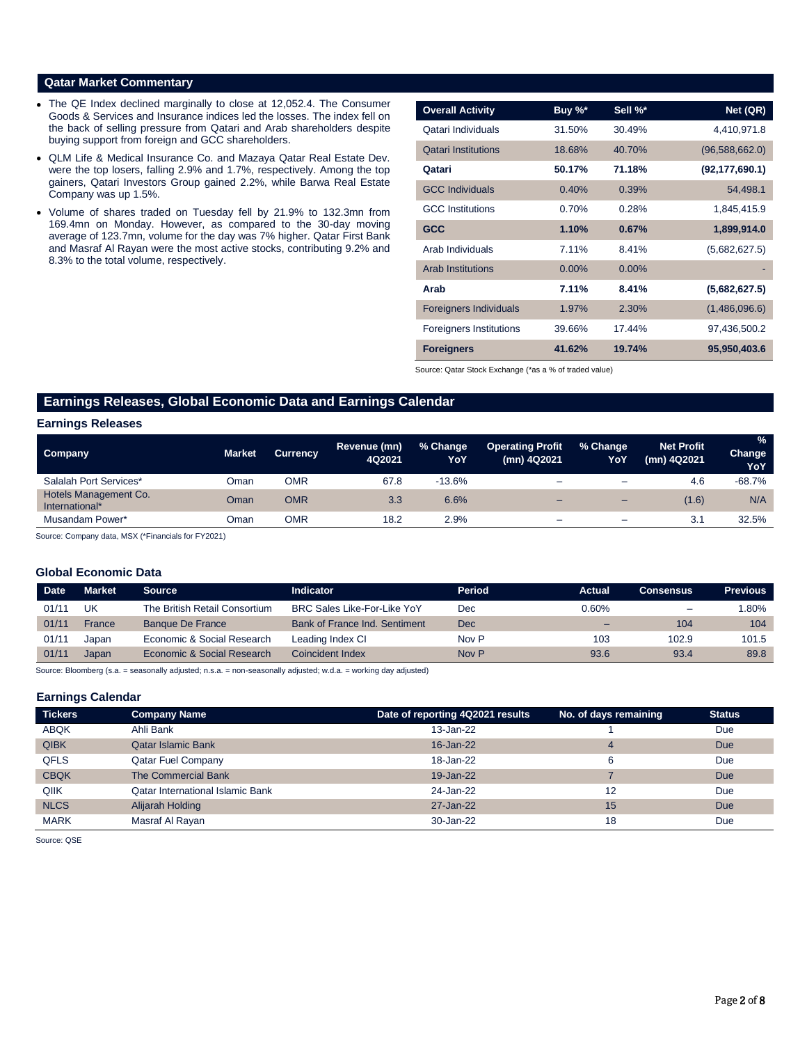## **Qatar Market Commentary**

- The QE Index declined marginally to close at 12,052.4. The Consumer Goods & Services and Insurance indices led the losses. The index fell on the back of selling pressure from Qatari and Arab shareholders despite buying support from foreign and GCC shareholders.
- QLM Life & Medical Insurance Co. and Mazaya Qatar Real Estate Dev. were the top losers, falling 2.9% and 1.7%, respectively. Among the top gainers, Qatari Investors Group gained 2.2%, while Barwa Real Estate Company was up 1.5%.
- Volume of shares traded on Tuesday fell by 21.9% to 132.3mn from 169.4mn on Monday. However, as compared to the 30-day moving average of 123.7mn, volume for the day was 7% higher. Qatar First Bank and Masraf Al Rayan were the most active stocks, contributing 9.2% and 8.3% to the total volume, respectively.

| <b>Overall Activity</b>        | Buy %*   | Sell %*  | Net (QR)         |
|--------------------------------|----------|----------|------------------|
| Qatari Individuals             | 31.50%   | 30.49%   | 4,410,971.8      |
| <b>Qatari Institutions</b>     | 18.68%   | 40.70%   | (96,588,662.0)   |
| Qatari                         | 50.17%   | 71.18%   | (92, 177, 690.1) |
| <b>GCC Individuals</b>         | 0.40%    | 0.39%    | 54,498.1         |
| <b>GCC</b> Institutions        | 0.70%    | 0.28%    | 1,845,415.9      |
| <b>GCC</b>                     | 1.10%    | 0.67%    | 1,899,914.0      |
| Arab Individuals               | 7.11%    | 8.41%    | (5,682,627.5)    |
| <b>Arab Institutions</b>       | $0.00\%$ | $0.00\%$ |                  |
| Arab                           | 7.11%    | 8.41%    | (5,682,627.5)    |
| <b>Foreigners Individuals</b>  | 1.97%    | 2.30%    | (1,486,096.6)    |
| <b>Foreigners Institutions</b> | 39.66%   | 17.44%   | 97,436,500.2     |
| <b>Foreigners</b>              | 41.62%   | 19.74%   | 95,950,403.6     |

Source: Qatar Stock Exchange (\*as a % of traded value)

# **Earnings Releases, Global Economic Data and Earnings Calendar**

#### **Earnings Releases**

| Company                                 | <b>Market</b> | <b>Currency</b> | Revenue (mn)<br>4Q2021 | % Change<br>YoY | <b>Operating Profit</b><br>(mn) 4Q2021 | % Change<br>YoY          | <b>Net Profit</b><br>(mn) 4Q2021 | $\%$<br>Change<br>YoY |
|-----------------------------------------|---------------|-----------------|------------------------|-----------------|----------------------------------------|--------------------------|----------------------------------|-----------------------|
| Salalah Port Services*                  | Dman          | OMR             | 67.8                   | $-13.6%$        | -                                      | $\overline{\phantom{0}}$ | 4.6                              | $-68.7%$              |
| Hotels Management Co.<br>International* | Oman          | <b>OMR</b>      | 3.3                    | 6.6%            | -                                      | $\overline{\phantom{0}}$ | (1.6)                            | N/A                   |
| Musandam Power*                         | Oman          | OMR             | 18.2                   | 2.9%            | –                                      | -                        | 3.1                              | 32.5%                 |

Source: Company data, MSX (\*Financials for FY2021)

### **Global Economic Data**

| <b>Date</b> | <b>Market</b> | <b>Source</b>                 | Indicator                          | Period | Actual | <b>Consensus</b>         | <b>Previous</b> |
|-------------|---------------|-------------------------------|------------------------------------|--------|--------|--------------------------|-----------------|
| 01/11       | UK            | The British Retail Consortium | <b>BRC Sales Like-For-Like YoY</b> | Dec    | 0.60%  | $\overline{\phantom{a}}$ | $.80\%$         |
| 01/11       | France        | <b>Banque De France</b>       | Bank of France Ind. Sentiment      | Dec    |        | 104                      | 104             |
| 01/11       | Japan         | Economic & Social Research    | Leading Index CI                   | Nov P  | 103    | 102.9                    | 101.5           |
| 01/11       | Japan         | Economic & Social Research    | Coincident Index                   | Nov P  | 93.6   | 93.4                     | 89.8            |

Source: Bloomberg (s.a. = seasonally adjusted; n.s.a. = non-seasonally adjusted; w.d.a. = working day adjusted)

#### **Earnings Calendar**

| <b>Tickers</b> | <b>Company Name</b>                     | Date of reporting 4Q2021 results | No. of days remaining | <b>Status</b> |
|----------------|-----------------------------------------|----------------------------------|-----------------------|---------------|
| <b>ABQK</b>    | Ahli Bank                               | 13-Jan-22                        |                       | Due           |
| <b>QIBK</b>    | <b>Qatar Islamic Bank</b>               | 16-Jan-22                        | 4                     | <b>Due</b>    |
| <b>QFLS</b>    | <b>Qatar Fuel Company</b>               | 18-Jan-22                        | 6                     | Due           |
| <b>CBQK</b>    | The Commercial Bank                     | 19-Jan-22                        |                       | <b>Due</b>    |
| QIIK           | <b>Qatar International Islamic Bank</b> | 24-Jan-22                        | 12                    | Due           |
| <b>NLCS</b>    | Alijarah Holding                        | 27-Jan-22                        | 15                    | <b>Due</b>    |
| <b>MARK</b>    | Masraf Al Rayan                         | 30-Jan-22                        | 18                    | Due           |

Source: QSE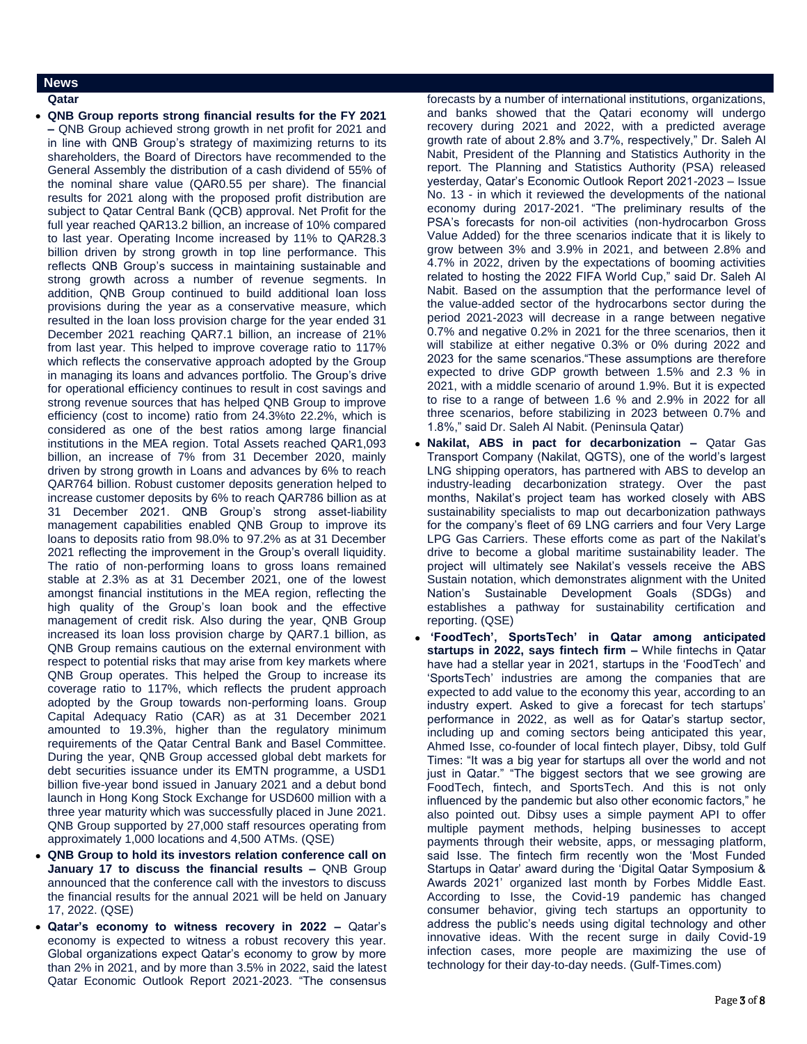#### **News**

**Qatar** 

 **QNB Group reports strong financial results for the FY 2021 –** QNB Group achieved strong growth in net profit for 2021 and in line with QNB Group's strategy of maximizing returns to its shareholders, the Board of Directors have recommended to the General Assembly the distribution of a cash dividend of 55% of the nominal share value (QAR0.55 per share). The financial results for 2021 along with the proposed profit distribution are subject to Qatar Central Bank (QCB) approval. Net Profit for the full year reached QAR13.2 billion, an increase of 10% compared to last year. Operating Income increased by 11% to QAR28.3 billion driven by strong growth in top line performance. This reflects QNB Group's success in maintaining sustainable and strong growth across a number of revenue segments. In addition, QNB Group continued to build additional loan loss provisions during the year as a conservative measure, which resulted in the loan loss provision charge for the year ended 31 December 2021 reaching QAR7.1 billion, an increase of 21% from last year. This helped to improve coverage ratio to 117% which reflects the conservative approach adopted by the Group in managing its loans and advances portfolio. The Group's drive for operational efficiency continues to result in cost savings and strong revenue sources that has helped QNB Group to improve efficiency (cost to income) ratio from 24.3%to 22.2%, which is considered as one of the best ratios among large financial institutions in the MEA region. Total Assets reached QAR1,093 billion, an increase of 7% from 31 December 2020, mainly driven by strong growth in Loans and advances by 6% to reach QAR764 billion. Robust customer deposits generation helped to increase customer deposits by 6% to reach QAR786 billion as at 31 December 2021. QNB Group's strong asset-liability management capabilities enabled QNB Group to improve its loans to deposits ratio from 98.0% to 97.2% as at 31 December 2021 reflecting the improvement in the Group's overall liquidity. The ratio of non-performing loans to gross loans remained stable at 2.3% as at 31 December 2021, one of the lowest amongst financial institutions in the MEA region, reflecting the high quality of the Group's loan book and the effective management of credit risk. Also during the year, QNB Group increased its loan loss provision charge by QAR7.1 billion, as QNB Group remains cautious on the external environment with respect to potential risks that may arise from key markets where QNB Group operates. This helped the Group to increase its coverage ratio to 117%, which reflects the prudent approach adopted by the Group towards non-performing loans. Group Capital Adequacy Ratio (CAR) as at 31 December 2021 amounted to 19.3%, higher than the regulatory minimum requirements of the Qatar Central Bank and Basel Committee. During the year, QNB Group accessed global debt markets for debt securities issuance under its EMTN programme, a USD1 billion five-year bond issued in January 2021 and a debut bond launch in Hong Kong Stock Exchange for USD600 million with a three year maturity which was successfully placed in June 2021. QNB Group supported by 27,000 staff resources operating from approximately 1,000 locations and 4,500 ATMs. (QSE)

- **QNB Group to hold its investors relation conference call on January 17 to discuss the financial results –** QNB Group announced that the conference call with the investors to discuss the financial results for the annual 2021 will be held on January 17, 2022. (QSE)
- **Qatar's economy to witness recovery in 2022 –** Qatar's economy is expected to witness a robust recovery this year. Global organizations expect Qatar's economy to grow by more than 2% in 2021, and by more than 3.5% in 2022, said the latest Qatar Economic Outlook Report 2021-2023. "The consensus

forecasts by a number of international institutions, organizations, and banks showed that the Qatari economy will undergo recovery during 2021 and 2022, with a predicted average growth rate of about 2.8% and 3.7%, respectively," Dr. Saleh Al Nabit, President of the Planning and Statistics Authority in the report. The Planning and Statistics Authority (PSA) released yesterday, Qatar's Economic Outlook Report 2021-2023 – Issue No. 13 - in which it reviewed the developments of the national economy during 2017-2021. "The preliminary results of the PSA's forecasts for non-oil activities (non-hydrocarbon Gross Value Added) for the three scenarios indicate that it is likely to grow between 3% and 3.9% in 2021, and between 2.8% and 4.7% in 2022, driven by the expectations of booming activities related to hosting the 2022 FIFA World Cup," said Dr. Saleh Al Nabit. Based on the assumption that the performance level of the value-added sector of the hydrocarbons sector during the period 2021-2023 will decrease in a range between negative 0.7% and negative 0.2% in 2021 for the three scenarios, then it will stabilize at either negative 0.3% or 0% during 2022 and 2023 for the same scenarios."These assumptions are therefore expected to drive GDP growth between 1.5% and 2.3 % in 2021, with a middle scenario of around 1.9%. But it is expected to rise to a range of between 1.6 % and 2.9% in 2022 for all three scenarios, before stabilizing in 2023 between 0.7% and 1.8%," said Dr. Saleh Al Nabit. (Peninsula Qatar)

- **Nakilat, ABS in pact for decarbonization –** Qatar Gas Transport Company (Nakilat, QGTS), one of the world's largest LNG shipping operators, has partnered with ABS to develop an industry-leading decarbonization strategy. Over the past months, Nakilat's project team has worked closely with ABS sustainability specialists to map out decarbonization pathways for the company's fleet of 69 LNG carriers and four Very Large LPG Gas Carriers. These efforts come as part of the Nakilat's drive to become a global maritime sustainability leader. The project will ultimately see Nakilat's vessels receive the ABS Sustain notation, which demonstrates alignment with the United Nation's Sustainable Development Goals (SDGs) and establishes a pathway for sustainability certification and reporting. (QSE)
- **'FoodTech', SportsTech' in Qatar among anticipated startups in 2022, says fintech firm –** While fintechs in Qatar have had a stellar year in 2021, startups in the 'FoodTech' and 'SportsTech' industries are among the companies that are expected to add value to the economy this year, according to an industry expert. Asked to give a forecast for tech startups' performance in 2022, as well as for Qatar's startup sector, including up and coming sectors being anticipated this year, Ahmed Isse, co-founder of local fintech player, Dibsy, told Gulf Times: "It was a big year for startups all over the world and not just in Qatar." "The biggest sectors that we see growing are FoodTech, fintech, and SportsTech. And this is not only influenced by the pandemic but also other economic factors," he also pointed out. Dibsy uses a simple payment API to offer multiple payment methods, helping businesses to accept payments through their website, apps, or messaging platform, said Isse. The fintech firm recently won the 'Most Funded Startups in Qatar' award during the 'Digital Qatar Symposium & Awards 2021' organized last month by Forbes Middle East. According to Isse, the Covid-19 pandemic has changed consumer behavior, giving tech startups an opportunity to address the public's needs using digital technology and other innovative ideas. With the recent surge in daily Covid-19 infection cases, more people are maximizing the use of technology for their day-to-day needs. (Gulf-Times.com)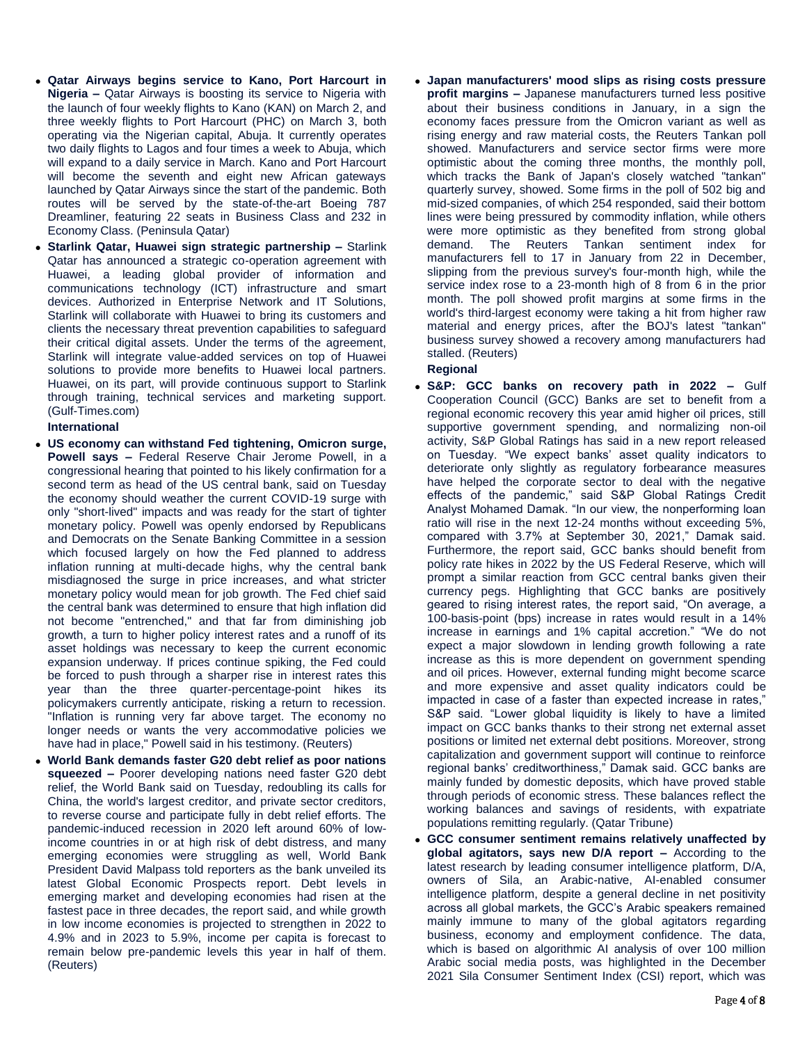- **Qatar Airways begins service to Kano, Port Harcourt in Nigeria –** Qatar Airways is boosting its service to Nigeria with the launch of four weekly flights to Kano (KAN) on March 2, and three weekly flights to Port Harcourt (PHC) on March 3, both operating via the Nigerian capital, Abuja. It currently operates two daily flights to Lagos and four times a week to Abuja, which will expand to a daily service in March. Kano and Port Harcourt will become the seventh and eight new African gateways launched by Qatar Airways since the start of the pandemic. Both routes will be served by the state-of-the-art Boeing 787 Dreamliner, featuring 22 seats in Business Class and 232 in Economy Class. (Peninsula Qatar)
- **Starlink Qatar, Huawei sign strategic partnership –** Starlink Qatar has announced a strategic co-operation agreement with Huawei, a leading global provider of information and communications technology (ICT) infrastructure and smart devices. Authorized in Enterprise Network and IT Solutions, Starlink will collaborate with Huawei to bring its customers and clients the necessary threat prevention capabilities to safeguard their critical digital assets. Under the terms of the agreement, Starlink will integrate value-added services on top of Huawei solutions to provide more benefits to Huawei local partners. Huawei, on its part, will provide continuous support to Starlink through training, technical services and marketing support. (Gulf-Times.com)

**International**

- **US economy can withstand Fed tightening, Omicron surge, Powell says –** Federal Reserve Chair Jerome Powell, in a congressional hearing that pointed to his likely confirmation for a second term as head of the US central bank, said on Tuesday the economy should weather the current COVID-19 surge with only "short-lived" impacts and was ready for the start of tighter monetary policy. Powell was openly endorsed by Republicans and Democrats on the Senate Banking Committee in a session which focused largely on how the Fed planned to address inflation running at multi-decade highs, why the central bank misdiagnosed the surge in price increases, and what stricter monetary policy would mean for job growth. The Fed chief said the central bank was determined to ensure that high inflation did not become "entrenched," and that far from diminishing job growth, a turn to higher policy interest rates and a runoff of its asset holdings was necessary to keep the current economic expansion underway. If prices continue spiking, the Fed could be forced to push through a sharper rise in interest rates this year than the three quarter-percentage-point hikes its policymakers currently anticipate, risking a return to recession. "Inflation is running very far above target. The economy no longer needs or wants the very accommodative policies we have had in place," Powell said in his testimony. (Reuters)
- **World Bank demands faster G20 debt relief as poor nations squeezed –** Poorer developing nations need faster G20 debt relief, the World Bank said on Tuesday, redoubling its calls for China, the world's largest creditor, and private sector creditors, to reverse course and participate fully in debt relief efforts. The pandemic-induced recession in 2020 left around 60% of lowincome countries in or at high risk of debt distress, and many emerging economies were struggling as well, World Bank President David Malpass told reporters as the bank unveiled its latest Global Economic Prospects report. Debt levels in emerging market and developing economies had risen at the fastest pace in three decades, the report said, and while growth in low income economies is projected to strengthen in 2022 to 4.9% and in 2023 to 5.9%, income per capita is forecast to remain below pre-pandemic levels this year in half of them. (Reuters)

 **Japan manufacturers' mood slips as rising costs pressure profit margins –** Japanese manufacturers turned less positive about their business conditions in January, in a sign the economy faces pressure from the Omicron variant as well as rising energy and raw material costs, the Reuters Tankan poll showed. Manufacturers and service sector firms were more optimistic about the coming three months, the monthly poll, which tracks the Bank of Japan's closely watched "tankan" quarterly survey, showed. Some firms in the poll of 502 big and mid-sized companies, of which 254 responded, said their bottom lines were being pressured by commodity inflation, while others were more optimistic as they benefited from strong global demand. The Reuters Tankan sentiment index for manufacturers fell to 17 in January from 22 in December, slipping from the previous survey's four-month high, while the service index rose to a 23-month high of 8 from 6 in the prior month. The poll showed profit margins at some firms in the world's third-largest economy were taking a hit from higher raw material and energy prices, after the BOJ's latest "tankan" business survey showed a recovery among manufacturers had stalled. (Reuters)

# **Regional**

- **S&P: GCC banks on recovery path in 2022 –** Gulf Cooperation Council (GCC) Banks are set to benefit from a regional economic recovery this year amid higher oil prices, still supportive government spending, and normalizing non-oil activity, S&P Global Ratings has said in a new report released on Tuesday. "We expect banks' asset quality indicators to deteriorate only slightly as regulatory forbearance measures have helped the corporate sector to deal with the negative effects of the pandemic," said S&P Global Ratings Credit Analyst Mohamed Damak. "In our view, the nonperforming loan ratio will rise in the next 12-24 months without exceeding 5%, compared with 3.7% at September 30, 2021," Damak said. Furthermore, the report said, GCC banks should benefit from policy rate hikes in 2022 by the US Federal Reserve, which will prompt a similar reaction from GCC central banks given their currency pegs. Highlighting that GCC banks are positively geared to rising interest rates, the report said, "On average, a 100-basis-point (bps) increase in rates would result in a 14% increase in earnings and 1% capital accretion." "We do not expect a major slowdown in lending growth following a rate increase as this is more dependent on government spending and oil prices. However, external funding might become scarce and more expensive and asset quality indicators could be impacted in case of a faster than expected increase in rates," S&P said. "Lower global liquidity is likely to have a limited impact on GCC banks thanks to their strong net external asset positions or limited net external debt positions. Moreover, strong capitalization and government support will continue to reinforce regional banks' creditworthiness," Damak said. GCC banks are mainly funded by domestic deposits, which have proved stable through periods of economic stress. These balances reflect the working balances and savings of residents, with expatriate populations remitting regularly. (Qatar Tribune)
- **GCC consumer sentiment remains relatively unaffected by global agitators, says new D/A report –** According to the latest research by leading consumer intelligence platform, D/A, owners of Sila, an Arabic-native, AI-enabled consumer intelligence platform, despite a general decline in net positivity across all global markets, the GCC's Arabic speakers remained mainly immune to many of the global agitators regarding business, economy and employment confidence. The data, which is based on algorithmic AI analysis of over 100 million Arabic social media posts, was highlighted in the December 2021 Sila Consumer Sentiment Index (CSI) report, which was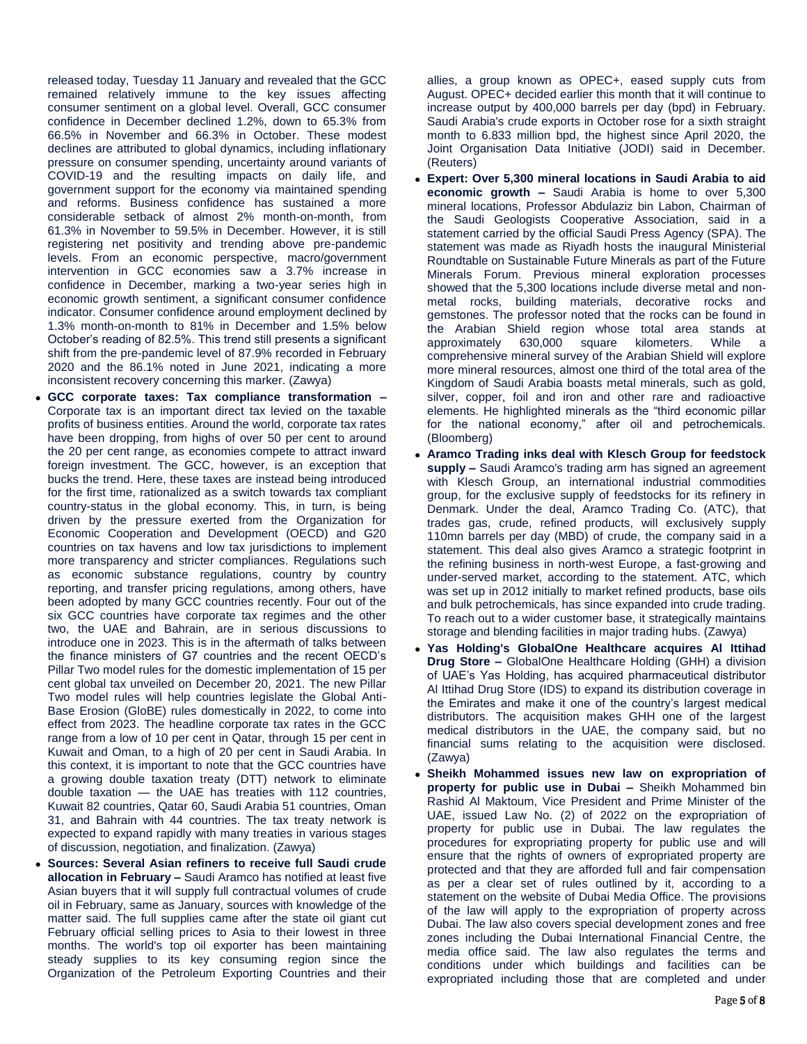released today, Tuesday 11 January and revealed that the GCC remained relatively immune to the key issues affecting consumer sentiment on a global level. Overall, GCC consumer confidence in December declined 1.2%, down to 65.3% from 66.5% in November and 66.3% in October. These modest declines are attributed to global dynamics, including inflationary pressure on consumer spending, uncertainty around variants of COVID-19 and the resulting impacts on daily life, and government support for the economy via maintained spending and reforms. Business confidence has sustained a more considerable setback of almost 2% month-on-month, from 61.3% in November to 59.5% in December. However, it is still registering net positivity and trending above pre-pandemic levels. From an economic perspective, macro/government intervention in GCC economies saw a 3.7% increase in confidence in December, marking a two-year series high in economic growth sentiment, a significant consumer confidence indicator. Consumer confidence around employment declined by 1.3% month-on-month to 81% in December and 1.5% below October's reading of 82.5%. This trend still presents a significant shift from the pre-pandemic level of 87.9% recorded in February 2020 and the 86.1% noted in June 2021, indicating a more inconsistent recovery concerning this marker. (Zawya)

- **GCC corporate taxes: Tax compliance transformation –** Corporate tax is an important direct tax levied on the taxable profits of business entities. Around the world, corporate tax rates have been dropping, from highs of over 50 per cent to around the 20 per cent range, as economies compete to attract inward foreign investment. The GCC, however, is an exception that bucks the trend. Here, these taxes are instead being introduced for the first time, rationalized as a switch towards tax compliant country-status in the global economy. This, in turn, is being driven by the pressure exerted from the Organization for Economic Cooperation and Development (OECD) and G20 countries on tax havens and low tax jurisdictions to implement more transparency and stricter compliances. Regulations such as economic substance regulations, country by country reporting, and transfer pricing regulations, among others, have been adopted by many GCC countries recently. Four out of the six GCC countries have corporate tax regimes and the other two, the UAE and Bahrain, are in serious discussions to introduce one in 2023. This is in the aftermath of talks between the finance ministers of G7 countries and the recent OECD's Pillar Two model rules for the domestic implementation of 15 per cent global tax unveiled on December 20, 2021. The new Pillar Two model rules will help countries legislate the Global Anti-Base Erosion (GloBE) rules domestically in 2022, to come into effect from 2023. The headline corporate tax rates in the GCC range from a low of 10 per cent in Qatar, through 15 per cent in Kuwait and Oman, to a high of 20 per cent in Saudi Arabia. In this context, it is important to note that the GCC countries have a growing double taxation treaty (DTT) network to eliminate double taxation — the UAE has treaties with 112 countries, Kuwait 82 countries, Qatar 60, Saudi Arabia 51 countries, Oman 31, and Bahrain with 44 countries. The tax treaty network is expected to expand rapidly with many treaties in various stages of discussion, negotiation, and finalization. (Zawya)
- **Sources: Several Asian refiners to receive full Saudi crude allocation in February –** Saudi Aramco has notified at least five Asian buyers that it will supply full contractual volumes of crude oil in February, same as January, sources with knowledge of the matter said. The full supplies came after the state oil giant cut February official selling prices to Asia to their lowest in three months. The world's top oil exporter has been maintaining steady supplies to its key consuming region since the Organization of the Petroleum Exporting Countries and their

allies, a group known as OPEC+, eased supply cuts from August. OPEC+ decided earlier this month that it will continue to increase output by 400,000 barrels per day (bpd) in February. Saudi Arabia's crude exports in October rose for a sixth straight month to 6.833 million bpd, the highest since April 2020, the Joint Organisation Data Initiative (JODI) said in December. (Reuters)

- **Expert: Over 5,300 mineral locations in Saudi Arabia to aid economic growth –** Saudi Arabia is home to over 5,300 mineral locations, Professor Abdulaziz bin Labon, Chairman of the Saudi Geologists Cooperative Association, said in a statement carried by the official Saudi Press Agency (SPA). The statement was made as Riyadh hosts the inaugural Ministerial Roundtable on Sustainable Future Minerals as part of the Future Minerals Forum. Previous mineral exploration processes showed that the 5,300 locations include diverse metal and nonmetal rocks, building materials, decorative rocks and gemstones. The professor noted that the rocks can be found in the Arabian Shield region whose total area stands at approximately 630,000 square kilometers. While a comprehensive mineral survey of the Arabian Shield will explore more mineral resources, almost one third of the total area of the Kingdom of Saudi Arabia boasts metal minerals, such as gold, silver, copper, foil and iron and other rare and radioactive elements. He highlighted minerals as the "third economic pillar for the national economy," after oil and petrochemicals. (Bloomberg)
- **Aramco Trading inks deal with Klesch Group for feedstock supply –** Saudi Aramco's trading arm has signed an agreement with Klesch Group, an international industrial commodities group, for the exclusive supply of feedstocks for its refinery in Denmark. Under the deal, Aramco Trading Co. (ATC), that trades gas, crude, refined products, will exclusively supply 110mn barrels per day (MBD) of crude, the company said in a statement. This deal also gives Aramco a strategic footprint in the refining business in north-west Europe, a fast-growing and under-served market, according to the statement. ATC, which was set up in 2012 initially to market refined products, base oils and bulk petrochemicals, has since expanded into crude trading. To reach out to a wider customer base, it strategically maintains storage and blending facilities in major trading hubs. (Zawya)
- **Yas Holding's GlobalOne Healthcare acquires Al Ittihad Drug Store –** GlobalOne Healthcare Holding (GHH) a division of UAE's Yas Holding, has acquired pharmaceutical distributor Al Ittihad Drug Store (IDS) to expand its distribution coverage in the Emirates and make it one of the country's largest medical distributors. The acquisition makes GHH one of the largest medical distributors in the UAE, the company said, but no financial sums relating to the acquisition were disclosed. (Zawya)
- **Sheikh Mohammed issues new law on expropriation of property for public use in Dubai –** Sheikh Mohammed bin Rashid Al Maktoum, Vice President and Prime Minister of the UAE, issued Law No. (2) of 2022 on the expropriation of property for public use in Dubai. The law regulates the procedures for expropriating property for public use and will ensure that the rights of owners of expropriated property are protected and that they are afforded full and fair compensation as per a clear set of rules outlined by it, according to a statement on the website of Dubai Media Office. The provisions of the law will apply to the expropriation of property across Dubai. The law also covers special development zones and free zones including the Dubai International Financial Centre, the media office said. The law also regulates the terms and conditions under which buildings and facilities can be expropriated including those that are completed and under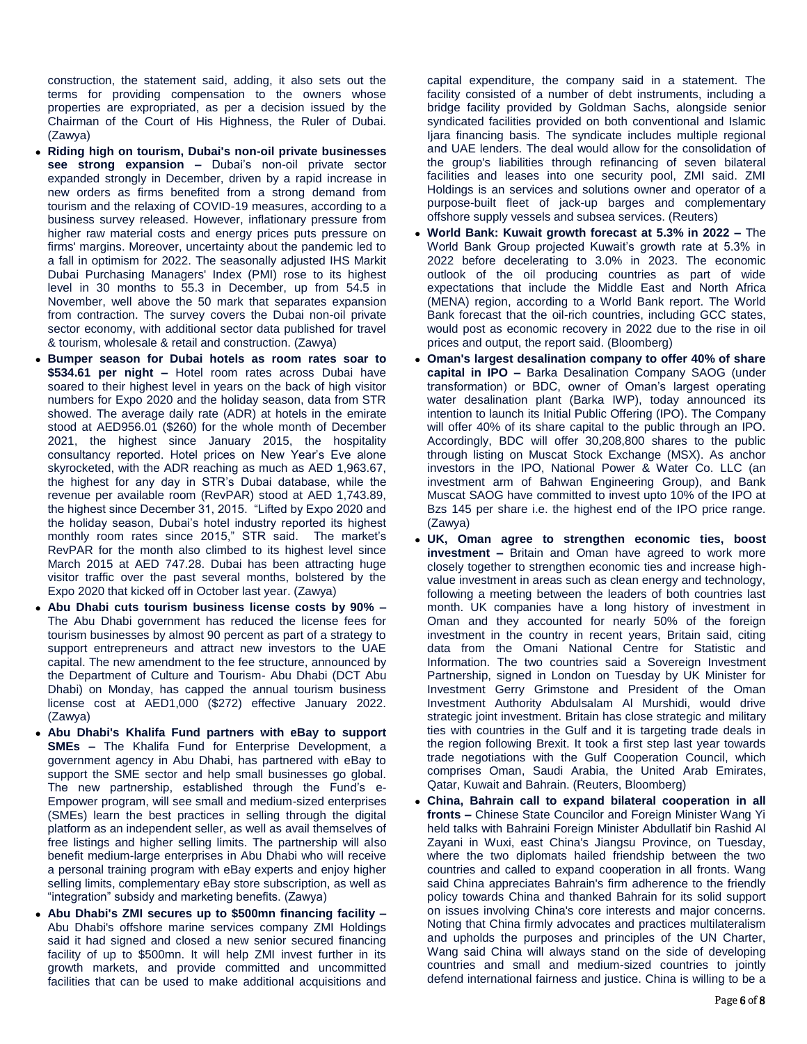construction, the statement said, adding, it also sets out the terms for providing compensation to the owners whose properties are expropriated, as per a decision issued by the Chairman of the Court of His Highness, the Ruler of Dubai. (Zawya)

- **Riding high on tourism, Dubai's non-oil private businesses see strong expansion –** Dubai's non-oil private sector expanded strongly in December, driven by a rapid increase in new orders as firms benefited from a strong demand from tourism and the relaxing of COVID-19 measures, according to a business survey released. However, inflationary pressure from higher raw material costs and energy prices puts pressure on firms' margins. Moreover, uncertainty about the pandemic led to a fall in optimism for 2022. The seasonally adjusted IHS Markit Dubai Purchasing Managers' Index (PMI) rose to its highest level in 30 months to 55.3 in December, up from 54.5 in November, well above the 50 mark that separates expansion from contraction. The survey covers the Dubai non-oil private sector economy, with additional sector data published for travel & tourism, wholesale & retail and construction. (Zawya)
- **Bumper season for Dubai hotels as room rates soar to \$534.61 per night –** Hotel room rates across Dubai have soared to their highest level in years on the back of high visitor numbers for Expo 2020 and the holiday season, data from STR showed. The average daily rate (ADR) at hotels in the emirate stood at AED956.01 (\$260) for the whole month of December 2021, the highest since January 2015, the hospitality consultancy reported. Hotel prices on New Year's Eve alone skyrocketed, with the ADR reaching as much as AED 1,963.67, the highest for any day in STR's Dubai database, while the revenue per available room (RevPAR) stood at AED 1,743.89, the highest since December 31, 2015. "Lifted by Expo 2020 and the holiday season, Dubai's hotel industry reported its highest monthly room rates since 2015," STR said. The market's RevPAR for the month also climbed to its highest level since March 2015 at AED 747.28. Dubai has been attracting huge visitor traffic over the past several months, bolstered by the Expo 2020 that kicked off in October last year. (Zawya)
- **Abu Dhabi cuts tourism business license costs by 90% –** The Abu Dhabi government has reduced the license fees for tourism businesses by almost 90 percent as part of a strategy to support entrepreneurs and attract new investors to the UAE capital. The new amendment to the fee structure, announced by the Department of Culture and Tourism- Abu Dhabi (DCT Abu Dhabi) on Monday, has capped the annual tourism business license cost at AED1,000 (\$272) effective January 2022. (Zawya)
- **Abu Dhabi's Khalifa Fund partners with eBay to support SMEs –** The Khalifa Fund for Enterprise Development, a government agency in Abu Dhabi, has partnered with eBay to support the SME sector and help small businesses go global. The new partnership, established through the Fund's e-Empower program, will see small and medium-sized enterprises (SMEs) learn the best practices in selling through the digital platform as an independent seller, as well as avail themselves of free listings and higher selling limits. The partnership will also benefit medium-large enterprises in Abu Dhabi who will receive a personal training program with eBay experts and enjoy higher selling limits, complementary eBay store subscription, as well as "integration" subsidy and marketing benefits. (Zawya)
- **Abu Dhabi's ZMI secures up to \$500mn financing facility –** Abu Dhabi's offshore marine services company ZMI Holdings said it had signed and closed a new senior secured financing facility of up to \$500mn. It will help ZMI invest further in its growth markets, and provide committed and uncommitted facilities that can be used to make additional acquisitions and

capital expenditure, the company said in a statement. The facility consisted of a number of debt instruments, including a bridge facility provided by Goldman Sachs, alongside senior syndicated facilities provided on both conventional and Islamic Ijara financing basis. The syndicate includes multiple regional and UAE lenders. The deal would allow for the consolidation of the group's liabilities through refinancing of seven bilateral facilities and leases into one security pool, ZMI said. ZMI Holdings is an services and solutions owner and operator of a purpose-built fleet of jack-up barges and complementary offshore supply vessels and subsea services. (Reuters)

- **World Bank: Kuwait growth forecast at 5.3% in 2022 –** The World Bank Group projected Kuwait's growth rate at 5.3% in 2022 before decelerating to 3.0% in 2023. The economic outlook of the oil producing countries as part of wide expectations that include the Middle East and North Africa (MENA) region, according to a World Bank report. The World Bank forecast that the oil-rich countries, including GCC states, would post as economic recovery in 2022 due to the rise in oil prices and output, the report said. (Bloomberg)
- **Oman's largest desalination company to offer 40% of share capital in IPO –** Barka Desalination Company SAOG (under transformation) or BDC, owner of Oman's largest operating water desalination plant (Barka IWP), today announced its intention to launch its Initial Public Offering (IPO). The Company will offer 40% of its share capital to the public through an IPO. Accordingly, BDC will offer 30,208,800 shares to the public through listing on Muscat Stock Exchange (MSX). As anchor investors in the IPO, National Power & Water Co. LLC (an investment arm of Bahwan Engineering Group), and Bank Muscat SAOG have committed to invest upto 10% of the IPO at Bzs 145 per share i.e. the highest end of the IPO price range. (Zawya)
- **UK, Oman agree to strengthen economic ties, boost investment –** Britain and Oman have agreed to work more closely together to strengthen economic ties and increase highvalue investment in areas such as clean energy and technology, following a meeting between the leaders of both countries last month. UK companies have a long history of investment in Oman and they accounted for nearly 50% of the foreign investment in the country in recent years, Britain said, citing data from the Omani National Centre for Statistic and Information. The two countries said a Sovereign Investment Partnership, signed in London on Tuesday by UK Minister for Investment Gerry Grimstone and President of the Oman Investment Authority Abdulsalam Al Murshidi, would drive strategic joint investment. Britain has close strategic and military ties with countries in the Gulf and it is targeting trade deals in the region following Brexit. It took a first step last year towards trade negotiations with the Gulf Cooperation Council, which comprises Oman, Saudi Arabia, the United Arab Emirates, Qatar, Kuwait and Bahrain. (Reuters, Bloomberg)
- **China, Bahrain call to expand bilateral cooperation in all fronts –** Chinese State Councilor and Foreign Minister Wang Yi held talks with Bahraini Foreign Minister Abdullatif bin Rashid Al Zayani in Wuxi, east China's Jiangsu Province, on Tuesday, where the two diplomats hailed friendship between the two countries and called to expand cooperation in all fronts. Wang said China appreciates Bahrain's firm adherence to the friendly policy towards China and thanked Bahrain for its solid support on issues involving China's core interests and major concerns. Noting that China firmly advocates and practices multilateralism and upholds the purposes and principles of the UN Charter, Wang said China will always stand on the side of developing countries and small and medium-sized countries to jointly defend international fairness and justice. China is willing to be a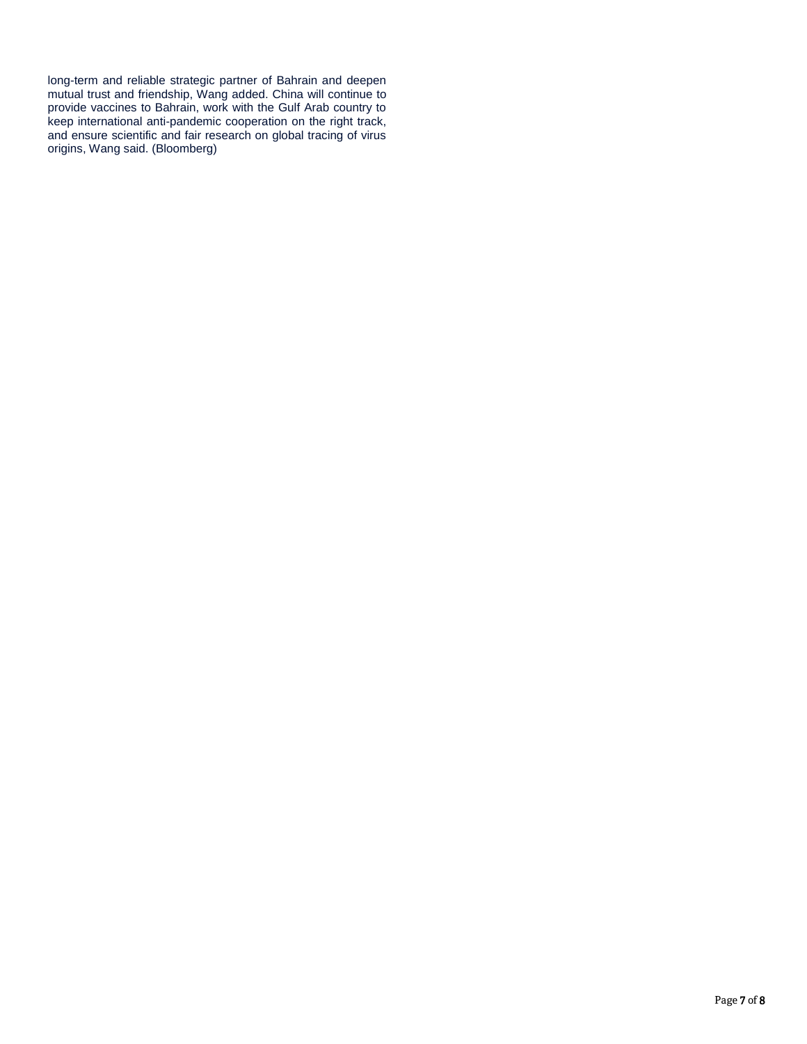long-term and reliable strategic partner of Bahrain and deepen mutual trust and friendship, Wang added. China will continue to provide vaccines to Bahrain, work with the Gulf Arab country to keep international anti-pandemic cooperation on the right track, and ensure scientific and fair research on global tracing of virus origins, Wang said. (Bloomberg)